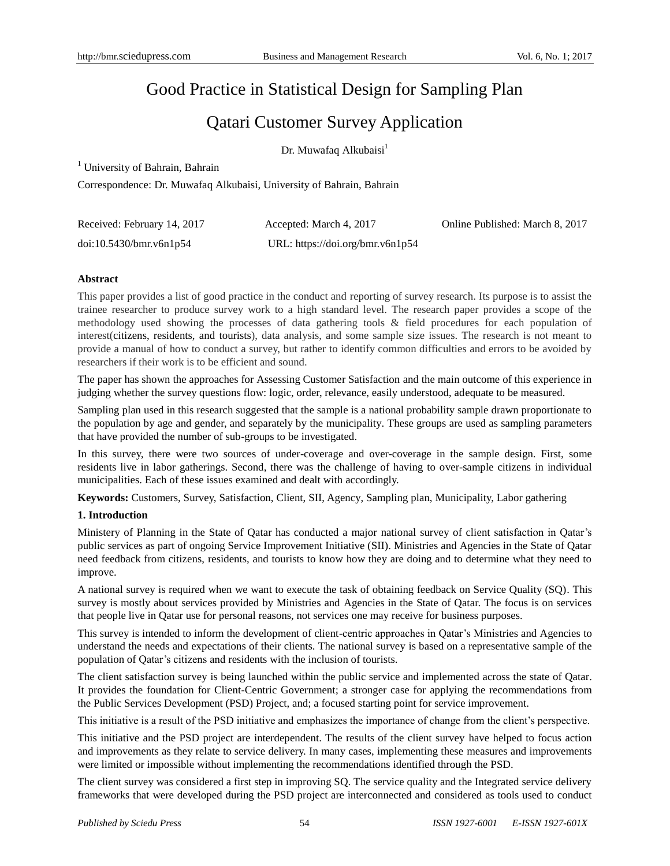# Good Practice in Statistical Design for Sampling Plan

# Qatari Customer Survey Application

Dr. Muwafaq Alkubaisi<sup>1</sup>

<sup>1</sup> University of Bahrain, Bahrain

Correspondence: Dr. Muwafaq Alkubaisi, University of Bahrain, Bahrain

| Received: February 14, 2017 | Accepted: March 4, 2017          | Online Published: March 8, 2017 |
|-----------------------------|----------------------------------|---------------------------------|
| doi:10.5430/bmr.v6n1p54     | URL: https://doi.org/bmr.v6n1p54 |                                 |

#### **Abstract**

This paper provides a list of good practice in the conduct and reporting of survey research. Its purpose is to assist the trainee researcher to produce survey work to a high standard level. The research paper provides a scope of the methodology used showing the processes of data gathering tools & field procedures for each population of interest(citizens, residents, and tourists), data analysis, and some sample size issues. The research is not meant to provide a manual of how to conduct a survey, but rather to identify common difficulties and errors to be avoided by researchers if their work is to be efficient and sound.

The paper has shown the approaches for Assessing Customer Satisfaction and the main outcome of this experience in judging whether the survey questions flow: logic, order, relevance, easily understood, adequate to be measured.

Sampling plan used in this research suggested that the sample is a national probability sample drawn proportionate to the population by age and gender, and separately by the municipality. These groups are used as sampling parameters that have provided the number of sub-groups to be investigated.

In this survey, there were two sources of under-coverage and over-coverage in the sample design. First, some residents live in labor gatherings. Second, there was the challenge of having to over-sample citizens in individual municipalities. Each of these issues examined and dealt with accordingly.

**Keywords:** Customers, Survey, Satisfaction, Client, SII, Agency, Sampling plan, Municipality, Labor gathering

### **1. Introduction**

Ministery of Planning in the State of Qatar has conducted a major national survey of client satisfaction in Qatar's public services as part of ongoing Service Improvement Initiative (SII). Ministries and Agencies in the State of Qatar need feedback from citizens, residents, and tourists to know how they are doing and to determine what they need to improve.

A national survey is required when we want to execute the task of obtaining feedback on Service Quality (SQ). This survey is mostly about services provided by Ministries and Agencies in the State of Qatar. The focus is on services that people live in Qatar use for personal reasons, not services one may receive for business purposes.

This survey is intended to inform the development of client-centric approaches in Qatar's Ministries and Agencies to understand the needs and expectations of their clients. The national survey is based on a representative sample of the population of Qatar's citizens and residents with the inclusion of tourists.

The client satisfaction survey is being launched within the public service and implemented across the state of Qatar. It provides the foundation for Client-Centric Government; a stronger case for applying the recommendations from the Public Services Development (PSD) Project, and; a focused starting point for service improvement.

This initiative is a result of the PSD initiative and emphasizes the importance of change from the client's perspective.

This initiative and the PSD project are interdependent. The results of the client survey have helped to focus action and improvements as they relate to service delivery. In many cases, implementing these measures and improvements were limited or impossible without implementing the recommendations identified through the PSD.

The client survey was considered a first step in improving SQ. The service quality and the Integrated service delivery frameworks that were developed during the PSD project are interconnected and considered as tools used to conduct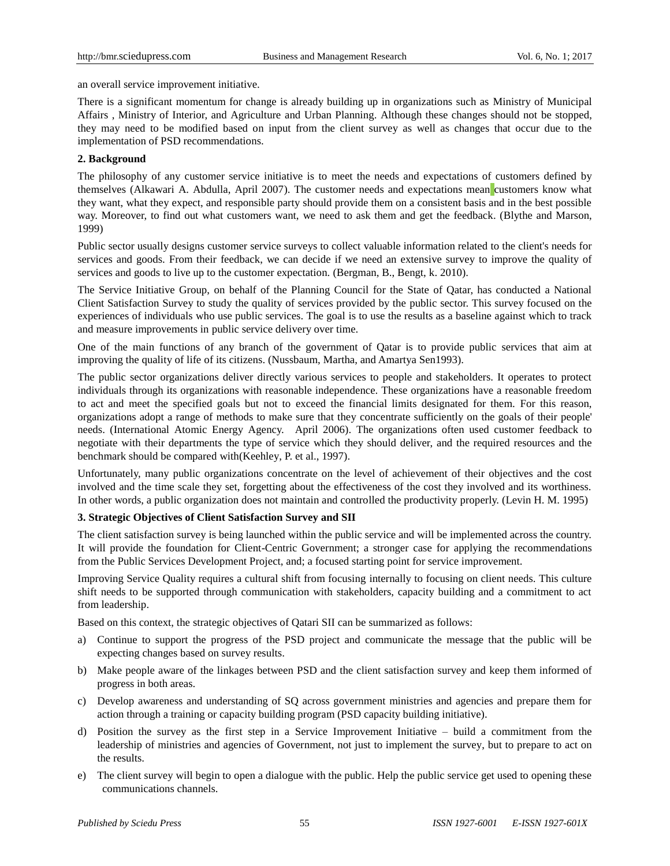an overall service improvement initiative.

There is a significant momentum for change is already building up in organizations such as Ministry of Municipal Affairs , Ministry of Interior, and Agriculture and Urban Planning. Although these changes should not be stopped, they may need to be modified based on input from the client survey as well as changes that occur due to the implementation of PSD recommendations.

### **2. Background**

The philosophy of any customer service initiative is to meet the needs and expectations of customers defined by themselves (Alkawari A. Abdulla, April 2007). The customer needs and expectations mean customers know what they want, what they expect, and responsible party should provide them on a consistent basis and in the best possible way. Moreover, to find out what customers want, we need to ask them and get the feedback. (Blythe and Marson, 1999)

Public sector usually designs customer service surveys to collect valuable information related to the client's needs for services and goods. From their feedback, we can decide if we need an extensive survey to improve the quality of services and goods to live up to the customer expectation. (Bergman, B., Bengt, k. 2010).

The Service Initiative Group, on behalf of the Planning Council for the State of Qatar, has conducted a National Client Satisfaction Survey to study the quality of services provided by the public sector. This survey focused on the experiences of individuals who use public services. The goal is to use the results as a baseline against which to track and measure improvements in public service delivery over time.

One of the main functions of any branch of the government of Qatar is to provide public services that aim at improving the quality of life of its citizens. (Nussbaum, Martha, and Amartya Sen1993).

The public sector organizations deliver directly various services to people and stakeholders. It operates to protect individuals through its organizations with reasonable independence. These organizations have a reasonable freedom to act and meet the specified goals but not to exceed the financial limits designated for them. For this reason, organizations adopt a range of methods to make sure that they concentrate sufficiently on the goals of their people' needs. (International Atomic Energy Agency. April 2006). The organizations often used customer feedback to negotiate with their departments the type of service which they should deliver, and the required resources and the benchmark should be compared with(Keehley, P. et al., 1997).

Unfortunately, many public organizations concentrate on the level of achievement of their objectives and the cost involved and the time scale they set, forgetting about the effectiveness of the cost they involved and its worthiness. In other words, a public organization does not maintain and controlled the productivity properly. (Levin H. M. 1995)

### **3. Strategic Objectives of Client Satisfaction Survey and SII**

The client satisfaction survey is being launched within the public service and will be implemented across the country. It will provide the foundation for Client-Centric Government; a stronger case for applying the recommendations from the Public Services Development Project, and; a focused starting point for service improvement.

Improving Service Quality requires a cultural shift from focusing internally to focusing on client needs. This culture shift needs to be supported through communication with stakeholders, capacity building and a commitment to act from leadership.

Based on this context, the strategic objectives of Qatari SII can be summarized as follows:

- a) Continue to support the progress of the PSD project and communicate the message that the public will be expecting changes based on survey results.
- b) Make people aware of the linkages between PSD and the client satisfaction survey and keep them informed of progress in both areas.
- c) Develop awareness and understanding of SQ across government ministries and agencies and prepare them for action through a training or capacity building program (PSD capacity building initiative).
- d) Position the survey as the first step in a Service Improvement Initiative build a commitment from the leadership of ministries and agencies of Government, not just to implement the survey, but to prepare to act on the results.
- e) The client survey will begin to open a dialogue with the public. Help the public service get used to opening these communications channels.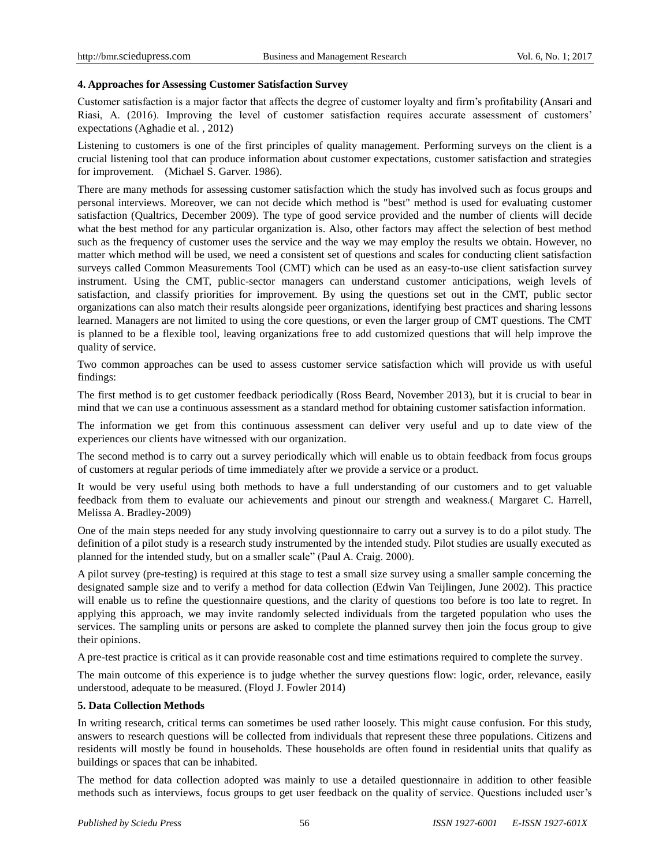### **4. Approaches for Assessing Customer Satisfaction Survey**

Customer satisfaction is a major factor that affects the degree of customer loyalty and firm's profitability (Ansari and Riasi, A. (2016). Improving the level of customer satisfaction requires accurate assessment of customers' expectations (Aghadie et al. , 2012)

Listening to customers is one of the first principles of quality management. Performing surveys on the client is a crucial listening tool that can produce information about customer expectations, customer satisfaction and strategies for improvement. (Michael S. Garver. 1986).

There are many methods for assessing customer satisfaction which the study has involved such as focus groups and personal interviews. Moreover, we can not decide which method is "best" method is used for evaluating customer satisfaction (Qualtrics, December 2009). The type of good service provided and the number of clients will decide what the best method for any particular organization is. Also, other factors may affect the selection of best method such as the frequency of customer uses the service and the way we may employ the results we obtain. However, no matter which method will be used, we need a consistent set of questions and scales for conducting client satisfaction surveys called Common Measurements Tool (CMT) which can be used as an easy-to-use client satisfaction survey instrument. Using the CMT, public-sector managers can understand customer anticipations, weigh levels of satisfaction, and classify priorities for improvement. By using the questions set out in the CMT, public sector organizations can also match their results alongside peer organizations, identifying best practices and sharing lessons learned. Managers are not limited to using the core questions, or even the larger group of CMT questions. The CMT is planned to be a flexible tool, leaving organizations free to add customized questions that will help improve the quality of service.

Two common approaches can be used to assess customer service satisfaction which will provide us with useful findings:

The first method is to get customer feedback periodically (Ross Beard, November 2013), but it is crucial to bear in mind that we can use a continuous assessment as a standard method for obtaining customer satisfaction information.

The information we get from this continuous assessment can deliver very useful and up to date view of the experiences our clients have witnessed with our organization.

The second method is to carry out a survey periodically which will enable us to obtain feedback from focus groups of customers at regular periods of time immediately after we provide a service or a product.

It would be very useful using both methods to have a full understanding of our customers and to get valuable feedback from them to evaluate our achievements and pinout our strength and weakness.( Margaret C. Harrell, Melissa A. Bradley-2009)

One of the main steps needed for any study involving questionnaire to carry out a survey is to do a pilot study. The definition of a pilot study is a research study instrumented by the intended study. Pilot studies are usually executed as planned for the intended study, but on a smaller scale" (Paul A. Craig. 2000).

A pilot survey (pre-testing) is required at this stage to test a small size survey using a smaller sample concerning the designated sample size and to verify a method for data collection (Edwin Van Teijlingen, June 2002). This practice will enable us to refine the questionnaire questions, and the clarity of questions too before is too late to regret. In applying this approach, we may invite randomly selected individuals from the targeted population who uses the services. The sampling units or persons are asked to complete the planned survey then join the focus group to give their opinions.

A pre-test practice is critical as it can provide reasonable cost and time estimations required to complete the survey.

The main outcome of this experience is to judge whether the survey questions flow: logic, order, relevance, easily understood, adequate to be measured. (Floyd J. Fowler 2014)

### **5. Data Collection Methods**

In writing research, critical terms can sometimes be used rather loosely. This might cause confusion. For this study, answers to research questions will be collected from individuals that represent these three populations. Citizens and residents will mostly be found in households. These households are often found in residential units that qualify as buildings or spaces that can be inhabited.

The method for data collection adopted was mainly to use a detailed questionnaire in addition to other feasible methods such as interviews, focus groups to get user feedback on the quality of service. Questions included user's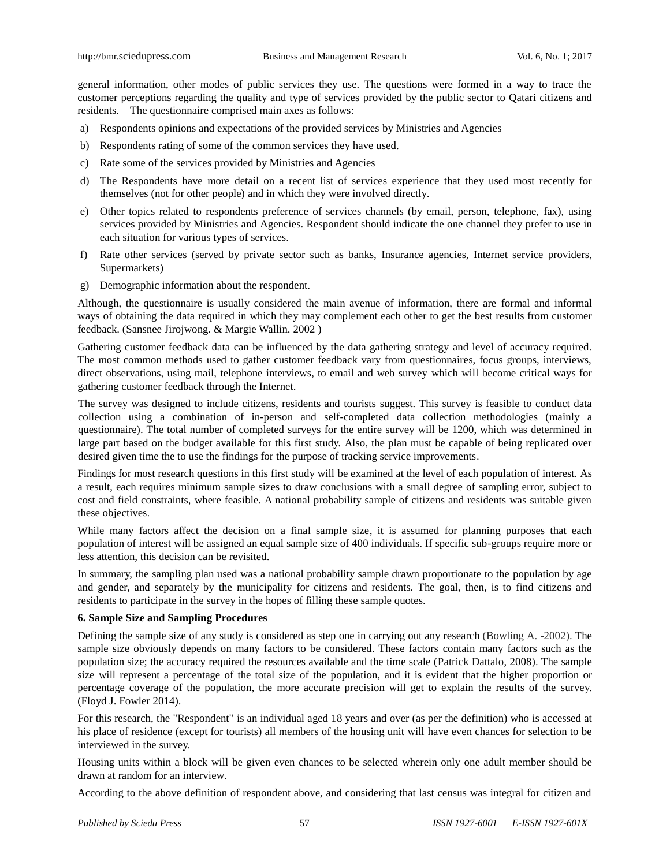general information, other modes of public services they use. The questions were formed in a way to trace the customer perceptions regarding the quality and type of services provided by the public sector to Qatari citizens and residents. The questionnaire comprised main axes as follows:

- a) Respondents opinions and expectations of the provided services by Ministries and Agencies
- b) Respondents rating of some of the common services they have used.
- c) Rate some of the services provided by Ministries and Agencies
- d) The Respondents have more detail on a recent list of services experience that they used most recently for themselves (not for other people) and in which they were involved directly*.*
- e) Other topics related to respondents preference of services channels (by email, person, telephone, fax), using services provided by Ministries and Agencies. Respondent should indicate the one channel they prefer to use in each situation for various types of services.
- f) Rate other services (served by private sector such as banks, Insurance agencies, Internet service providers, Supermarkets)
- g) Demographic information about the respondent.

Although, the questionnaire is usually considered the main avenue of information, there are formal and informal ways of obtaining the data required in which they may complement each other to get the best results from customer feedback. (Sansnee Jirojwong. & Margie Wallin. 2002 )

Gathering customer feedback data can be influenced by the data gathering strategy and level of accuracy required. The most common methods used to gather customer feedback vary from questionnaires, focus groups, interviews, direct observations, using mail, telephone interviews, to email and web survey which will become critical ways for gathering customer feedback through the Internet.

The survey was designed to include citizens, residents and tourists suggest. This survey is feasible to conduct data collection using a combination of in-person and self-completed data collection methodologies (mainly a questionnaire). The total number of completed surveys for the entire survey will be 1200, which was determined in large part based on the budget available for this first study. Also, the plan must be capable of being replicated over desired given time the to use the findings for the purpose of tracking service improvements.

Findings for most research questions in this first study will be examined at the level of each population of interest. As a result, each requires minimum sample sizes to draw conclusions with a small degree of sampling error, subject to cost and field constraints, where feasible. A national probability sample of citizens and residents was suitable given these objectives.

While many factors affect the decision on a final sample size, it is assumed for planning purposes that each population of interest will be assigned an equal sample size of 400 individuals. If specific sub-groups require more or less attention, this decision can be revisited.

In summary, the sampling plan used was a national probability sample drawn proportionate to the population by age and gender, and separately by the municipality for citizens and residents. The goal, then, is to find citizens and residents to participate in the survey in the hopes of filling these sample quotes.

#### **6. Sample Size and Sampling Procedures**

Defining the sample size of any study is considered as step one in carrying out any research (Bowling A. -2002). The sample size obviously depends on many factors to be considered. These factors contain many factors such as the population size; the accuracy required the resources available and the time scale (Patrick Dattalo, 2008). The sample size will represent a percentage of the total size of the population, and it is evident that the higher proportion or percentage coverage of the population, the more accurate precision will get to explain the results of the survey. (Floyd J. Fowler 2014).

For this research, the "Respondent" is an individual aged 18 years and over (as per the definition) who is accessed at his place of residence (except for tourists) all members of the housing unit will have even chances for selection to be interviewed in the survey.

Housing units within a block will be given even chances to be selected wherein only one adult member should be drawn at random for an interview.

According to the above definition of respondent above, and considering that last census was integral for citizen and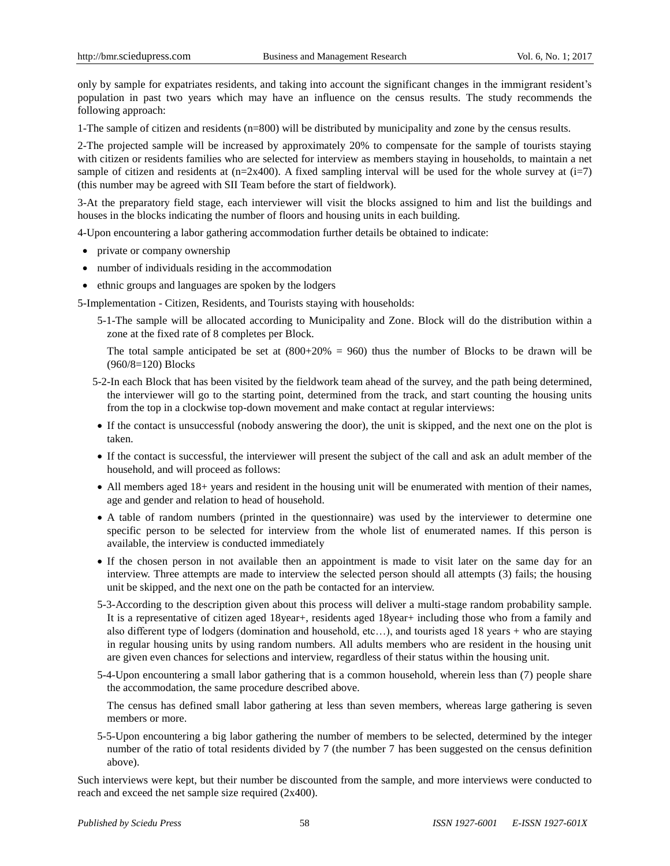only by sample for expatriates residents, and taking into account the significant changes in the immigrant resident's population in past two years which may have an influence on the census results. The study recommends the following approach:

1-The sample of citizen and residents (n=800) will be distributed by municipality and zone by the census results.

2-The projected sample will be increased by approximately 20% to compensate for the sample of tourists staying with citizen or residents families who are selected for interview as members staying in households, to maintain a net sample of citizen and residents at  $(n=2x400)$ . A fixed sampling interval will be used for the whole survey at  $(i=7)$ (this number may be agreed with SII Team before the start of fieldwork).

3-At the preparatory field stage, each interviewer will visit the blocks assigned to him and list the buildings and houses in the blocks indicating the number of floors and housing units in each building.

4-Upon encountering a labor gathering accommodation further details be obtained to indicate:

- private or company ownership
- number of individuals residing in the accommodation
- ethnic groups and languages are spoken by the lodgers

5-Implementation - Citizen, Residents, and Tourists staying with households:

5-1-The sample will be allocated according to Municipality and Zone. Block will do the distribution within a zone at the fixed rate of 8 completes per Block.

The total sample anticipated be set at  $(800+20\% = 960)$  thus the number of Blocks to be drawn will be (960/8=120) Blocks

- 5-2-In each Block that has been visited by the fieldwork team ahead of the survey, and the path being determined, the interviewer will go to the starting point, determined from the track, and start counting the housing units from the top in a clockwise top-down movement and make contact at regular interviews:
- If the contact is unsuccessful (nobody answering the door), the unit is skipped, and the next one on the plot is taken.
- If the contact is successful, the interviewer will present the subject of the call and ask an adult member of the household, and will proceed as follows:
- All members aged 18+ years and resident in the housing unit will be enumerated with mention of their names, age and gender and relation to head of household.
- A table of random numbers (printed in the questionnaire) was used by the interviewer to determine one specific person to be selected for interview from the whole list of enumerated names. If this person is available, the interview is conducted immediately
- If the chosen person in not available then an appointment is made to visit later on the same day for an interview. Three attempts are made to interview the selected person should all attempts (3) fails; the housing unit be skipped, and the next one on the path be contacted for an interview.
- 5-3-According to the description given about this process will deliver a multi-stage random probability sample. It is a representative of citizen aged 18year+, residents aged 18year+ including those who from a family and also different type of lodgers (domination and household, etc…), and tourists aged 18 years + who are staying in regular housing units by using random numbers. All adults members who are resident in the housing unit are given even chances for selections and interview, regardless of their status within the housing unit.
- 5-4-Upon encountering a small labor gathering that is a common household, wherein less than (7) people share the accommodation, the same procedure described above.

The census has defined small labor gathering at less than seven members, whereas large gathering is seven members or more.

5-5-Upon encountering a big labor gathering the number of members to be selected, determined by the integer number of the ratio of total residents divided by 7 (the number 7 has been suggested on the census definition above).

Such interviews were kept, but their number be discounted from the sample, and more interviews were conducted to reach and exceed the net sample size required (2x400).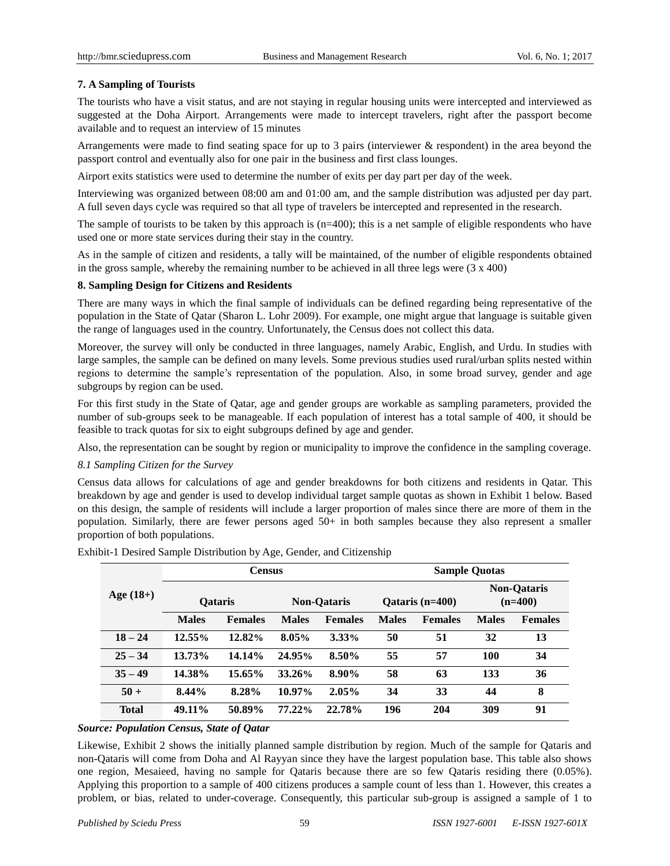## **7. A Sampling of Tourists**

The tourists who have a visit status, and are not staying in regular housing units were intercepted and interviewed as suggested at the Doha Airport. Arrangements were made to intercept travelers, right after the passport become available and to request an interview of 15 minutes

Arrangements were made to find seating space for up to 3 pairs (interviewer & respondent) in the area beyond the passport control and eventually also for one pair in the business and first class lounges.

Airport exits statistics were used to determine the number of exits per day part per day of the week.

Interviewing was organized between 08:00 am and 01:00 am, and the sample distribution was adjusted per day part. A full seven days cycle was required so that all type of travelers be intercepted and represented in the research.

The sample of tourists to be taken by this approach is  $(n=400)$ ; this is a net sample of eligible respondents who have used one or more state services during their stay in the country.

As in the sample of citizen and residents, a tally will be maintained, of the number of eligible respondents obtained in the gross sample, whereby the remaining number to be achieved in all three legs were  $(3 \times 400)$ 

### **8. Sampling Design for Citizens and Residents**

There are many ways in which the final sample of individuals can be defined regarding being representative of the population in the State of Qatar (Sharon L. Lohr 2009). For example, one might argue that language is suitable given the range of languages used in the country. Unfortunately, the Census does not collect this data.

Moreover, the survey will only be conducted in three languages, namely Arabic, English, and Urdu. In studies with large samples, the sample can be defined on many levels. Some previous studies used rural/urban splits nested within regions to determine the sample's representation of the population. Also, in some broad survey, gender and age subgroups by region can be used.

For this first study in the State of Qatar, age and gender groups are workable as sampling parameters, provided the number of sub-groups seek to be manageable. If each population of interest has a total sample of 400, it should be feasible to track quotas for six to eight subgroups defined by age and gender.

Also, the representation can be sought by region or municipality to improve the confidence in the sampling coverage.

### *8.1 Sampling Citizen for the Survey*

Census data allows for calculations of age and gender breakdowns for both citizens and residents in Qatar. This breakdown by age and gender is used to develop individual target sample quotas as shown in Exhibit 1 below. Based on this design, the sample of residents will include a larger proportion of males since there are more of them in the population. Similarly, there are fewer persons aged 50+ in both samples because they also represent a smaller proportion of both populations.

|              |              | <b>Census</b>  |                    | <b>Sample Quotas</b> |                   |                |                                 |                |
|--------------|--------------|----------------|--------------------|----------------------|-------------------|----------------|---------------------------------|----------------|
| Age $(18+)$  |              | <b>Oataris</b> | <b>Non-Qataris</b> |                      | Qataris $(n=400)$ |                | <b>Non-Qataris</b><br>$(n=400)$ |                |
|              | <b>Males</b> | <b>Females</b> | <b>Males</b>       | <b>Females</b>       | <b>Males</b>      | <b>Females</b> | <b>Males</b>                    | <b>Females</b> |
| $18 - 24$    | 12.55%       | 12.82%         | 8.05%              | 3.33%                | 50                | 51             | 32                              | 13             |
| $25 - 34$    | 13.73%       | 14.14%         | 24.95%             | 8.50%                | 55                | 57             | 100                             | 34             |
| $35 - 49$    | 14.38%       | 15.65%         | 33.26%             | 8.90%                | 58                | 63             | 133                             | 36             |
| $50 +$       | 8.44%        | 8.28%          | 10.97%             | $2.05\%$             | 34                | 33             | 44                              | 8              |
| <b>Total</b> | 49.11%       | 50.89%         | 77.22%             | 22.78%               | 196               | 204            | 309                             | 91             |

Exhibit-1 Desired Sample Distribution by Age, Gender, and Citizenship

### *Source: Population Census, State of Qatar*

Likewise, Exhibit 2 shows the initially planned sample distribution by region. Much of the sample for Qataris and non-Qataris will come from Doha and Al Rayyan since they have the largest population base. This table also shows one region, Mesaieed, having no sample for Qataris because there are so few Qataris residing there (0.05%). Applying this proportion to a sample of 400 citizens produces a sample count of less than 1. However, this creates a problem, or bias, related to under-coverage. Consequently, this particular sub-group is assigned a sample of 1 to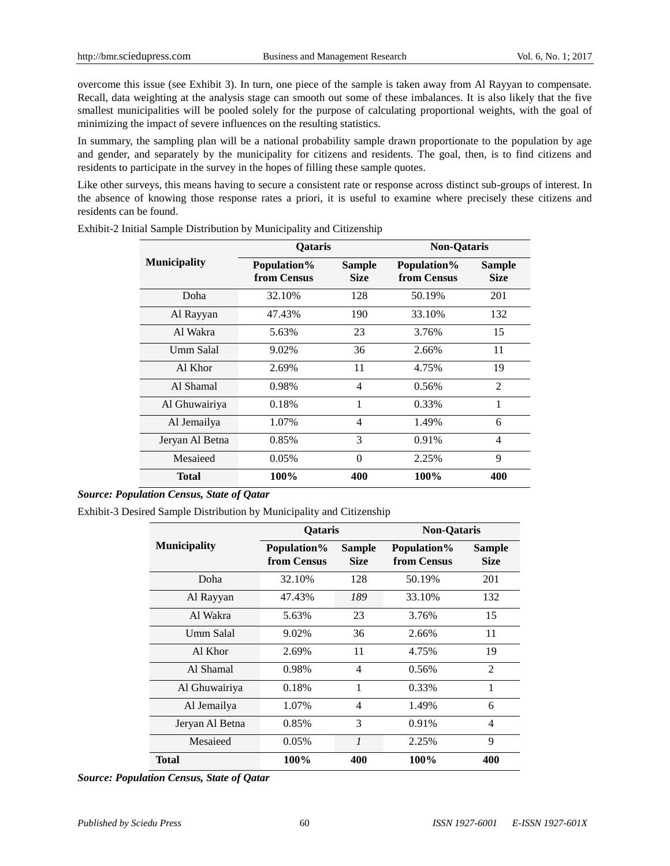overcome this issue (see Exhibit 3). In turn, one piece of the sample is taken away from Al Rayyan to compensate. Recall, data weighting at the analysis stage can smooth out some of these imbalances. It is also likely that the five smallest municipalities will be pooled solely for the purpose of calculating proportional weights, with the goal of minimizing the impact of severe influences on the resulting statistics.

In summary, the sampling plan will be a national probability sample drawn proportionate to the population by age and gender, and separately by the municipality for citizens and residents. The goal, then, is to find citizens and residents to participate in the survey in the hopes of filling these sample quotes.

Like other surveys, this means having to secure a consistent rate or response across distinct sub-groups of interest. In the absence of knowing those response rates a priori, it is useful to examine where precisely these citizens and residents can be found.

|                     | <b>Oataris</b>             |                       | <b>Non-Qataris</b>         |                              |  |  |
|---------------------|----------------------------|-----------------------|----------------------------|------------------------------|--|--|
| <b>Municipality</b> | Population%<br>from Census | Sample<br><b>Size</b> | Population%<br>from Census | <b>Sample</b><br><b>Size</b> |  |  |
| Doha                | 32.10%                     | 128                   | 50.19%                     | 201                          |  |  |
| Al Rayyan           | 47.43%                     | 190                   | 33.10%                     | 132                          |  |  |
| Al Wakra            | 5.63%                      | 23                    | 3.76%                      | 15                           |  |  |
| Umm Salal           | 9.02%                      | 36                    | 2.66%                      | 11                           |  |  |
| Al Khor             | 2.69%                      | 11                    | 4.75%                      | 19                           |  |  |
| Al Shamal           | 0.98%                      | $\overline{4}$        | 0.56%                      | $\mathfrak{D}$               |  |  |
| Al Ghuwairiya       | 0.18%                      | 1                     | 0.33%                      | 1                            |  |  |
| Al Jemailya         | 1.07%                      | 4                     | 1.49%                      | 6                            |  |  |
| Jeryan Al Betna     | 0.85%                      | 3                     | 0.91%                      | $\overline{4}$               |  |  |
| Mesaieed            | 0.05%                      | $\Omega$              | 2.25%                      | 9                            |  |  |
| Total               | 100%                       | 400                   | 100%                       | 400                          |  |  |

Exhibit-2 Initial Sample Distribution by Municipality and Citizenship

#### *Source: Population Census, State of Qatar*

Exhibit-3 Desired Sample Distribution by Municipality and Citizenship

|                     | <b>Qataris</b>             |                              | <b>Non-Qataris</b>         |                              |  |
|---------------------|----------------------------|------------------------------|----------------------------|------------------------------|--|
| <b>Municipality</b> | Population%<br>from Census | <b>Sample</b><br><b>Size</b> | Population%<br>from Census | <b>Sample</b><br><b>Size</b> |  |
| Doha                | 32.10%                     | 128                          | 50.19%                     | 201                          |  |
| Al Rayyan           | 47.43%                     | 189                          | 33.10%                     | 132                          |  |
| Al Wakra            | 5.63%                      | 23                           | 3.76%                      | 15                           |  |
| Umm Salal           | 9.02%                      | 36                           | 2.66%                      | 11                           |  |
| Al Khor             | 2.69%                      | 11                           | 4.75%                      | 19                           |  |
| Al Shamal           | 0.98%                      | 4                            | 0.56%                      | 2                            |  |
| Al Ghuwairiya       | 0.18%                      | 1                            | 0.33%                      | 1                            |  |
| Al Jemailya         | 1.07%                      | $\overline{4}$               | 1.49%                      | 6                            |  |
| Jeryan Al Betna     | 0.85%                      | 3                            | 0.91%                      | 4                            |  |
| Mesaieed            | 0.05%                      | $\mathcal{I}$                | 2.25%                      | 9                            |  |
| Total               | 100%                       | 400                          | 100%                       | 400                          |  |

*Source: Population Census, State of Qatar*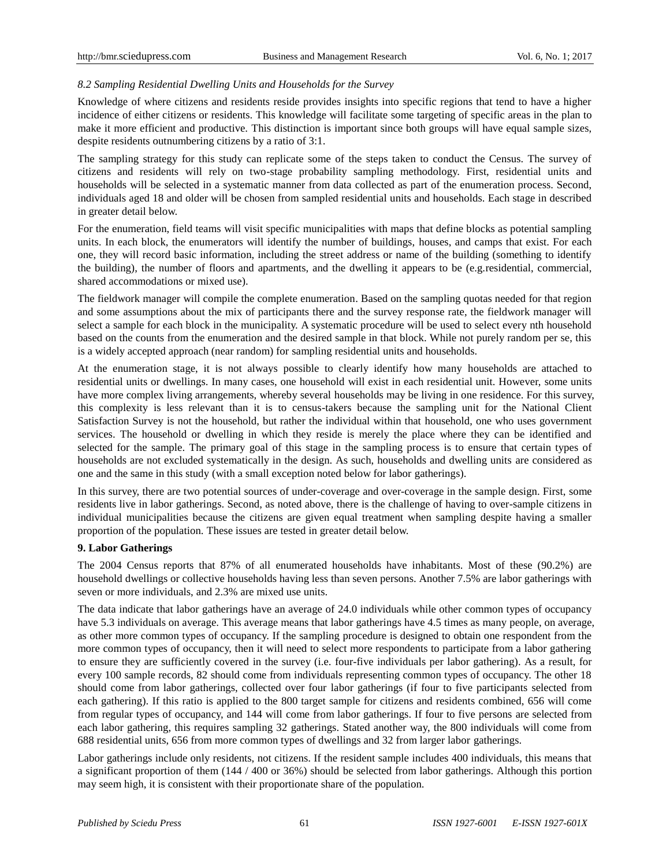#### *8.2 Sampling Residential Dwelling Units and Households for the Survey*

Knowledge of where citizens and residents reside provides insights into specific regions that tend to have a higher incidence of either citizens or residents. This knowledge will facilitate some targeting of specific areas in the plan to make it more efficient and productive. This distinction is important since both groups will have equal sample sizes, despite residents outnumbering citizens by a ratio of 3:1.

The sampling strategy for this study can replicate some of the steps taken to conduct the Census. The survey of citizens and residents will rely on two-stage probability sampling methodology. First, residential units and households will be selected in a systematic manner from data collected as part of the enumeration process. Second, individuals aged 18 and older will be chosen from sampled residential units and households. Each stage in described in greater detail below.

For the enumeration, field teams will visit specific municipalities with maps that define blocks as potential sampling units. In each block, the enumerators will identify the number of buildings, houses, and camps that exist. For each one, they will record basic information, including the street address or name of the building (something to identify the building), the number of floors and apartments, and the dwelling it appears to be (e.g.residential, commercial, shared accommodations or mixed use).

The fieldwork manager will compile the complete enumeration. Based on the sampling quotas needed for that region and some assumptions about the mix of participants there and the survey response rate, the fieldwork manager will select a sample for each block in the municipality. A systematic procedure will be used to select every nth household based on the counts from the enumeration and the desired sample in that block. While not purely random per se, this is a widely accepted approach (near random) for sampling residential units and households.

At the enumeration stage, it is not always possible to clearly identify how many households are attached to residential units or dwellings. In many cases, one household will exist in each residential unit. However, some units have more complex living arrangements, whereby several households may be living in one residence. For this survey, this complexity is less relevant than it is to census-takers because the sampling unit for the National Client Satisfaction Survey is not the household, but rather the individual within that household, one who uses government services. The household or dwelling in which they reside is merely the place where they can be identified and selected for the sample. The primary goal of this stage in the sampling process is to ensure that certain types of households are not excluded systematically in the design. As such, households and dwelling units are considered as one and the same in this study (with a small exception noted below for labor gatherings).

In this survey, there are two potential sources of under-coverage and over-coverage in the sample design. First, some residents live in labor gatherings. Second, as noted above, there is the challenge of having to over-sample citizens in individual municipalities because the citizens are given equal treatment when sampling despite having a smaller proportion of the population. These issues are tested in greater detail below.

#### **9. Labor Gatherings**

The 2004 Census reports that 87% of all enumerated households have inhabitants. Most of these (90.2%) are household dwellings or collective households having less than seven persons. Another 7.5% are labor gatherings with seven or more individuals, and 2.3% are mixed use units.

The data indicate that labor gatherings have an average of 24.0 individuals while other common types of occupancy have 5.3 individuals on average. This average means that labor gatherings have 4.5 times as many people, on average, as other more common types of occupancy. If the sampling procedure is designed to obtain one respondent from the more common types of occupancy, then it will need to select more respondents to participate from a labor gathering to ensure they are sufficiently covered in the survey (i.e. four-five individuals per labor gathering). As a result, for every 100 sample records, 82 should come from individuals representing common types of occupancy. The other 18 should come from labor gatherings, collected over four labor gatherings (if four to five participants selected from each gathering). If this ratio is applied to the 800 target sample for citizens and residents combined, 656 will come from regular types of occupancy, and 144 will come from labor gatherings. If four to five persons are selected from each labor gathering, this requires sampling 32 gatherings. Stated another way, the 800 individuals will come from 688 residential units, 656 from more common types of dwellings and 32 from larger labor gatherings.

Labor gatherings include only residents, not citizens. If the resident sample includes 400 individuals, this means that a significant proportion of them (144 / 400 or 36%) should be selected from labor gatherings. Although this portion may seem high, it is consistent with their proportionate share of the population.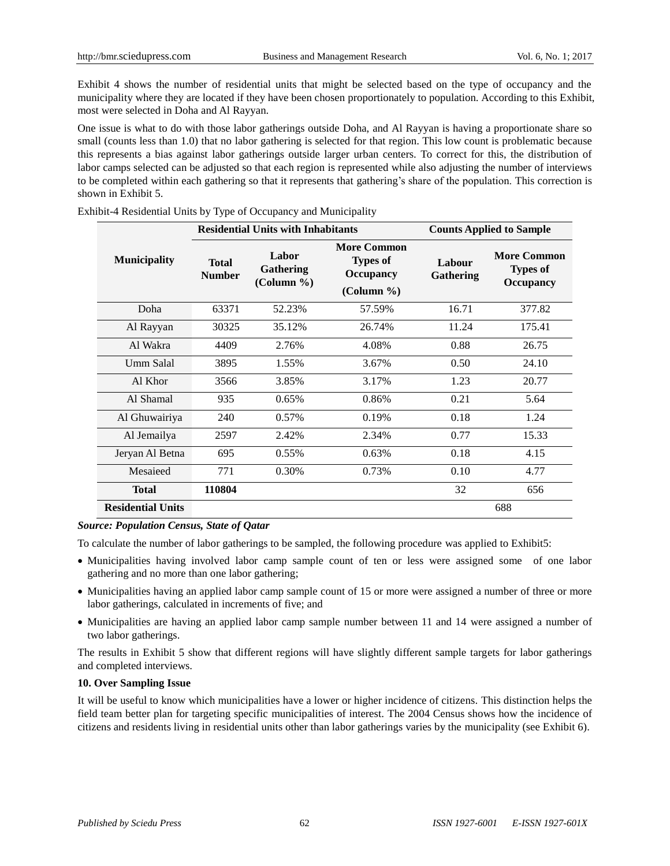Exhibit 4 shows the number of residential units that might be selected based on the type of occupancy and the municipality where they are located if they have been chosen proportionately to population. According to this Exhibit, most were selected in Doha and Al Rayyan.

One issue is what to do with those labor gatherings outside Doha, and Al Rayyan is having a proportionate share so small (counts less than 1.0) that no labor gathering is selected for that region. This low count is problematic because this represents a bias against labor gatherings outside larger urban centers. To correct for this, the distribution of labor camps selected can be adjusted so that each region is represented while also adjusting the number of interviews to be completed within each gathering so that it represents that gathering's share of the population. This correction is shown in Exhibit 5.

|                          |                               | <b>Residential Units with Inhabitants</b>  | <b>Counts Applied to Sample</b>                                     |                            |                                                    |
|--------------------------|-------------------------------|--------------------------------------------|---------------------------------------------------------------------|----------------------------|----------------------------------------------------|
| <b>Municipality</b>      | <b>Total</b><br><b>Number</b> | Labor<br><b>Gathering</b><br>$(Column\ %)$ | <b>More Common</b><br><b>Types of</b><br>Occupancy<br>$(Column\ %)$ | Labour<br><b>Gathering</b> | <b>More Common</b><br><b>Types of</b><br>Occupancy |
| Doha                     | 63371                         | 52.23%                                     | 57.59%                                                              | 16.71                      | 377.82                                             |
| Al Rayyan                | 30325                         | 35.12%                                     | 26.74%                                                              | 11.24                      | 175.41                                             |
| Al Wakra                 | 4409                          | 2.76%                                      | 4.08%                                                               | 0.88                       | 26.75                                              |
| Umm Salal                | 3895                          | 1.55%                                      | 3.67%                                                               | 0.50                       | 24.10                                              |
| Al Khor                  | 3566                          | 3.85%                                      | 3.17%                                                               | 1.23                       | 20.77                                              |
| Al Shamal                | 935                           | 0.65%                                      | 0.86%                                                               | 0.21                       | 5.64                                               |
| Al Ghuwairiya            | 240                           | 0.57%                                      | 0.19%                                                               | 0.18                       | 1.24                                               |
| Al Jemailya              | 2597                          | 2.42%                                      | 2.34%                                                               | 0.77                       | 15.33                                              |
| Jeryan Al Betna          | 695                           | 0.55%                                      | 0.63%                                                               | 0.18                       | 4.15                                               |
| Mesaieed                 | 771                           | 0.30%                                      | 0.73%                                                               | 0.10                       | 4.77                                               |
| <b>Total</b>             | 110804                        |                                            |                                                                     | 32                         | 656                                                |
| <b>Residential Units</b> |                               |                                            |                                                                     |                            | 688                                                |

## Exhibit-4 Residential Units by Type of Occupancy and Municipality

#### *Source: Population Census, State of Qatar*

To calculate the number of labor gatherings to be sampled, the following procedure was applied to Exhibit5:

- Municipalities having involved labor camp sample count of ten or less were assigned some of one labor gathering and no more than one labor gathering;
- Municipalities having an applied labor camp sample count of 15 or more were assigned a number of three or more labor gatherings, calculated in increments of five; and
- Municipalities are having an applied labor camp sample number between 11 and 14 were assigned a number of two labor gatherings.

The results in Exhibit 5 show that different regions will have slightly different sample targets for labor gatherings and completed interviews.

#### **10. Over Sampling Issue**

It will be useful to know which municipalities have a lower or higher incidence of citizens. This distinction helps the field team better plan for targeting specific municipalities of interest. The 2004 Census shows how the incidence of citizens and residents living in residential units other than labor gatherings varies by the municipality (see Exhibit 6).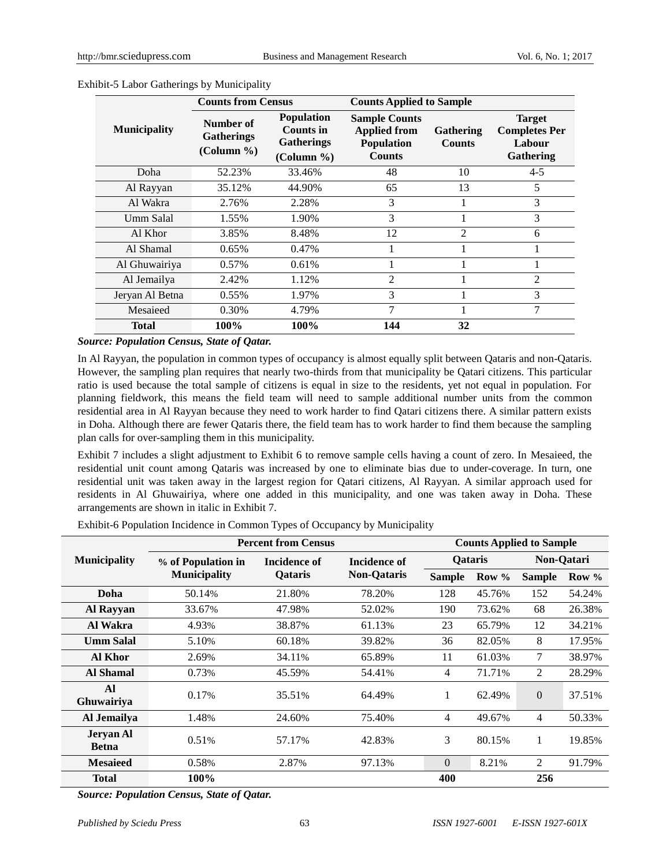|                     | <b>Counts from Census</b>                    |                                                                                    | <b>Counts Applied to Sample</b>                                                   |                                   |                                                                     |
|---------------------|----------------------------------------------|------------------------------------------------------------------------------------|-----------------------------------------------------------------------------------|-----------------------------------|---------------------------------------------------------------------|
| <b>Municipality</b> | Number of<br><b>Gatherings</b><br>(Column %) | <b>Population</b><br>Counts in<br><b>Gatherings</b><br>$\left($ Column % $\right)$ | <b>Sample Counts</b><br><b>Applied from</b><br><b>Population</b><br><b>Counts</b> | <b>Gathering</b><br><b>Counts</b> | <b>Target</b><br><b>Completes Per</b><br>Labour<br><b>Gathering</b> |
| Doha                | 52.23%                                       | 33.46%                                                                             | 48                                                                                | 10                                | $4 - 5$                                                             |
| Al Rayyan           | 35.12%                                       | 44.90%                                                                             | 65                                                                                | 13                                | 5                                                                   |
| Al Wakra            | 2.76%                                        | 2.28%                                                                              | 3                                                                                 |                                   | 3                                                                   |
| Umm Salal           | 1.55%                                        | 1.90%                                                                              | 3                                                                                 |                                   | 3                                                                   |
| Al Khor             | 3.85%                                        | 8.48%                                                                              | 12                                                                                | 2                                 | 6                                                                   |
| Al Shamal           | 0.65%                                        | 0.47%                                                                              | 1                                                                                 |                                   |                                                                     |
| Al Ghuwairiya       | 0.57%                                        | 0.61%                                                                              |                                                                                   |                                   |                                                                     |
| Al Jemailya         | 2.42%                                        | 1.12%                                                                              | $\overline{2}$                                                                    |                                   | $\overline{2}$                                                      |
| Jeryan Al Betna     | 0.55%                                        | 1.97%                                                                              | 3                                                                                 |                                   | 3                                                                   |
| Mesaieed            | 0.30%                                        | 4.79%                                                                              | 7                                                                                 |                                   | $\overline{7}$                                                      |
| Total               | 100%                                         | 100%                                                                               | 144                                                                               | 32                                |                                                                     |

#### Exhibit-5 Labor Gatherings by Municipality

#### *Source: Population Census, State of Qatar.*

In Al Rayyan, the population in common types of occupancy is almost equally split between Qataris and non-Qataris. However, the sampling plan requires that nearly two-thirds from that municipality be Qatari citizens. This particular ratio is used because the total sample of citizens is equal in size to the residents, yet not equal in population. For planning fieldwork, this means the field team will need to sample additional number units from the common residential area in Al Rayyan because they need to work harder to find Qatari citizens there. A similar pattern exists in Doha. Although there are fewer Qataris there, the field team has to work harder to find them because the sampling plan calls for over-sampling them in this municipality.

Exhibit 7 includes a slight adjustment to Exhibit 6 to remove sample cells having a count of zero. In Mesaieed, the residential unit count among Qataris was increased by one to eliminate bias due to under-coverage. In turn, one residential unit was taken away in the largest region for Qatari citizens, Al Rayyan. A similar approach used for residents in Al Ghuwairiya, where one added in this municipality, and one was taken away in Doha. These arrangements are shown in italic in Exhibit 7.

|                                  |                                           | <b>Percent from Census</b> |                     |                | <b>Counts Applied to Sample</b> |               |          |
|----------------------------------|-------------------------------------------|----------------------------|---------------------|----------------|---------------------------------|---------------|----------|
| <b>Municipality</b>              | <b>Incidence of</b><br>% of Population in |                            | <b>Incidence of</b> |                | <b>Oataris</b>                  | Non-Qatari    |          |
|                                  | <b>Municipality</b>                       | <b>Oataris</b>             | <b>Non-Qataris</b>  | <b>Sample</b>  | Row $\%$                        | <b>Sample</b> | Row $\%$ |
| Doha                             | 50.14%                                    | 21.80%                     | 78.20%              | 128            | 45.76%                          | 152           | 54.24%   |
| Al Rayyan                        | 33.67%                                    | 47.98%                     | 52.02%              | 190            | 73.62%                          | 68            | 26.38%   |
| Al Wakra                         | 4.93%                                     | 38.87%                     | 61.13%              | 23             | 65.79%                          | 12            | 34.21%   |
| <b>Umm Salal</b>                 | 5.10%                                     | 60.18%                     | 39.82%              | 36             | 82.05%                          | 8             | 17.95%   |
| Al Khor                          | 2.69%                                     | 34.11%                     | 65.89%              | 11             | 61.03%                          | $\tau$        | 38.97%   |
| Al Shamal                        | 0.73%                                     | 45.59%                     | 54.41%              | $\overline{4}$ | 71.71%                          | 2             | 28.29%   |
| Al<br>Ghuwairiya                 | 0.17%                                     | 35.51%                     | 64.49%              | 1              | 62.49%                          | $\theta$      | 37.51%   |
| Al Jemailya                      | 1.48%                                     | 24.60%                     | 75.40%              | 4              | 49.67%                          | 4             | 50.33%   |
| <b>Jeryan Al</b><br><b>Betna</b> | 0.51%                                     | 57.17%                     | 42.83%              | 3              | 80.15%                          | 1             | 19.85%   |
| <b>Mesaieed</b>                  | 0.58%                                     | 2.87%                      | 97.13%              | $\Omega$       | 8.21%                           | 2             | 91.79%   |
| <b>Total</b>                     | 100%                                      |                            |                     | 400            |                                 | 256           |          |

Exhibit-6 Population Incidence in Common Types of Occupancy by Municipality

*Source: Population Census, State of Qatar.*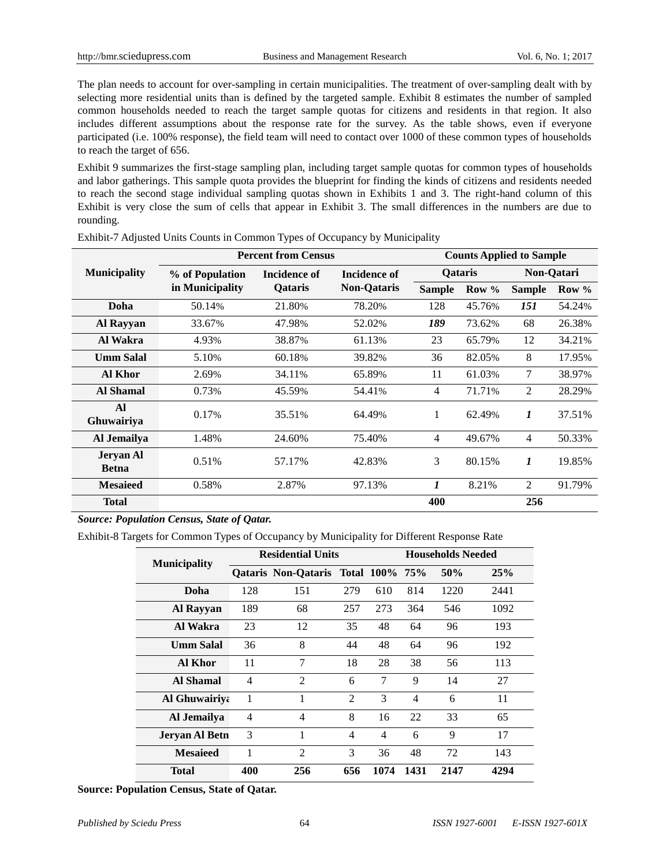The plan needs to account for over-sampling in certain municipalities. The treatment of over-sampling dealt with by selecting more residential units than is defined by the targeted sample. Exhibit 8 estimates the number of sampled common households needed to reach the target sample quotas for citizens and residents in that region. It also includes different assumptions about the response rate for the survey. As the table shows, even if everyone participated (i.e. 100% response), the field team will need to contact over 1000 of these common types of households to reach the target of 656.

Exhibit 9 summarizes the first-stage sampling plan, including target sample quotas for common types of households and labor gatherings. This sample quota provides the blueprint for finding the kinds of citizens and residents needed to reach the second stage individual sampling quotas shown in Exhibits 1 and 3. The right-hand column of this Exhibit is very close the sum of cells that appear in Exhibit 3. The small differences in the numbers are due to rounding.

|                                  | <b>Percent from Census</b>      | <b>Counts Applied to Sample</b> |                    |                |                |                  |            |
|----------------------------------|---------------------------------|---------------------------------|--------------------|----------------|----------------|------------------|------------|
| <b>Municipality</b>              | % of Population<br>Incidence of |                                 | Incidence of       |                | <b>Oataris</b> |                  | Non-Qatari |
|                                  | in Municipality                 | <b>Oataris</b>                  | <b>Non-Qataris</b> | <b>Sample</b>  | Row %          | <b>Sample</b>    | Row $%$    |
| Doha                             | 50.14%                          | 21.80%                          | 78.20%             | 128            | 45.76%         | 151              | 54.24%     |
| Al Rayyan                        | 33.67%                          | 47.98%                          | 52.02%             | 189            | 73.62%         | 68               | 26.38%     |
| Al Wakra                         | 4.93%                           | 38.87%                          | 61.13%             | 23             | 65.79%         | 12               | 34.21%     |
| <b>Umm Salal</b>                 | 5.10%                           | 60.18%                          | 39.82%             | 36             | 82.05%         | 8                | 17.95%     |
| Al Khor                          | 2.69%                           | 34.11%                          | 65.89%             | 11             | 61.03%         | 7                | 38.97%     |
| <b>Al Shamal</b>                 | 0.73%                           | 45.59%                          | 54.41%             | 4              | 71.71%         | 2                | 28.29%     |
| Al<br><b>Ghuwairiya</b>          | 0.17%                           | 35.51%                          | 64.49%             | 1              | 62.49%         | $\boldsymbol{l}$ | 37.51%     |
| Al Jemailya                      | 1.48%                           | 24.60%                          | 75.40%             | $\overline{4}$ | 49.67%         | $\overline{4}$   | 50.33%     |
| <b>Jeryan Al</b><br><b>Betna</b> | 0.51%                           | 57.17%                          | 42.83%             | 3              | 80.15%         | $\boldsymbol{l}$ | 19.85%     |
| <b>Mesaieed</b>                  | 0.58%                           | 2.87%                           | 97.13%             | 1              | 8.21%          | 2                | 91.79%     |
| <b>Total</b>                     |                                 |                                 |                    | 400            |                | 256              |            |

| Exhibit-7 Adjusted Units Counts in Common Types of Occupancy by Municipality |  |  |
|------------------------------------------------------------------------------|--|--|
|                                                                              |  |  |
|                                                                              |  |  |

*Source: Population Census, State of Qatar.*

Exhibit-8 Targets for Common Types of Occupancy by Municipality for Different Response Rate

| <b>Municipality</b>   | <b>Residential Units</b> |                                    |                          | <b>Households Needed</b> |                |      |      |
|-----------------------|--------------------------|------------------------------------|--------------------------|--------------------------|----------------|------|------|
|                       |                          | Qataris Non-Qataris Total 100% 75% |                          |                          |                | 50%  | 25%  |
| Doha                  | 128                      | 151                                | 279                      | 610                      | 814            | 1220 | 2441 |
| Al Rayyan             | 189                      | 68                                 | 257                      | 273                      | 364            | 546  | 1092 |
| Al Wakra              | 23                       | 12                                 | 35                       | 48                       | 64             | 96   | 193  |
| <b>Umm Salal</b>      | 36                       | 8                                  | 44                       | 48                       | 64             | 96   | 192  |
| Al Khor               | 11                       | 7                                  | 18                       | 28                       | 38             | 56   | 113  |
| Al Shamal             | 4                        | $\mathfrak{D}$                     | 6                        | 7                        | 9              | 14   | 27   |
| Al Ghuwairiya         | $\mathbf{1}$             | 1                                  | $\mathcal{L}$            | 3                        | $\overline{4}$ | 6    | 11   |
| Al Jemailya           | 4                        | 4                                  | 8                        | 16                       | 22             | 33   | 65   |
| <b>Jeryan Al Betn</b> | 3                        | 1                                  | $\overline{\mathcal{A}}$ | $\overline{\mathcal{A}}$ | 6              | 9    | 17   |
| <b>Mesaieed</b>       | 1                        | $\overline{2}$                     | 3                        | 36                       | 48             | 72   | 143  |
| Total                 | 400                      | 256                                | 656                      | 1074                     | 1431           | 2147 | 4294 |

**Source: Population Census, State of Qatar.**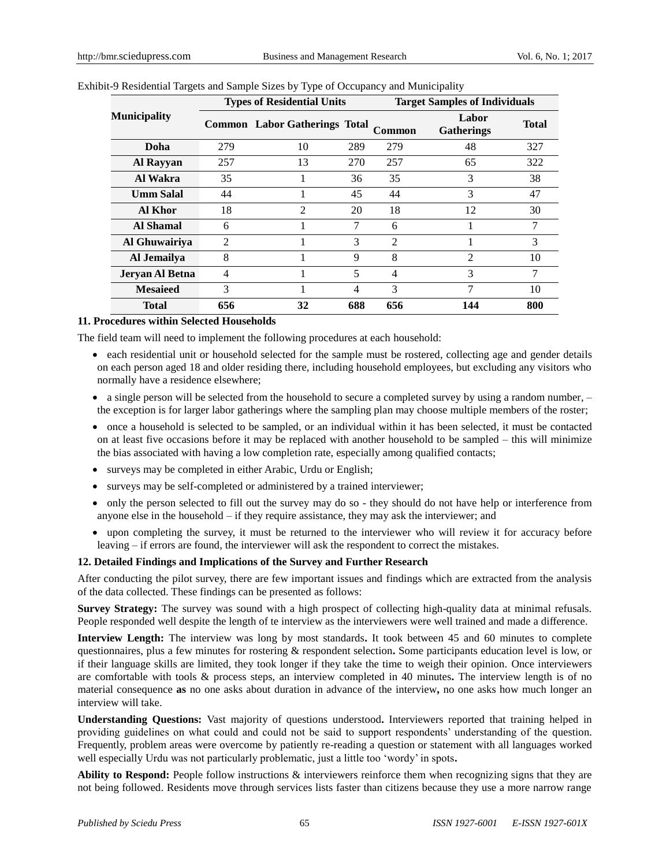|                     |                | <b>Types of Residential Units</b>    |     | <b>Target Samples of Individuals</b> |                            |              |  |
|---------------------|----------------|--------------------------------------|-----|--------------------------------------|----------------------------|--------------|--|
| <b>Municipality</b> |                | Common Labor Gatherings Total Common |     |                                      | Labor<br><b>Gatherings</b> | <b>Total</b> |  |
| Doha                | 279            | 10                                   | 289 | 279                                  | 48                         | 327          |  |
| Al Rayyan           | 257            | 13                                   | 270 | 257                                  | 65                         | 322          |  |
| Al Wakra            | 35             |                                      | 36  | 35                                   | 3                          | 38           |  |
| <b>Umm Salal</b>    | 44             |                                      | 45  | 44                                   | 3                          | 47           |  |
| Al Khor             | 18             | $\overline{2}$                       | 20  | 18                                   | 12                         | 30           |  |
| Al Shamal           | 6              |                                      | 7   | 6                                    |                            |              |  |
| Al Ghuwairiya       | $\overline{2}$ |                                      | 3   | $\overline{2}$                       |                            | 3            |  |
| Al Jemailya         | 8              |                                      | 9   | 8                                    | $\overline{2}$             | 10           |  |
| Jeryan Al Betna     | 4              |                                      | 5   | $\overline{4}$                       | 3                          |              |  |
| <b>Mesaieed</b>     | 3              |                                      | 4   | 3                                    | 7                          | 10           |  |
| <b>Total</b>        | 656            | 32                                   | 688 | 656                                  | 144                        | 800          |  |

#### Exhibit-9 Residential Targets and Sample Sizes by Type of Occupancy and Municipality

### **11. Procedures within Selected Households**

The field team will need to implement the following procedures at each household:

- each residential unit or household selected for the sample must be rostered, collecting age and gender details on each person aged 18 and older residing there, including household employees, but excluding any visitors who normally have a residence elsewhere;
- a single person will be selected from the household to secure a completed survey by using a random number, the exception is for larger labor gatherings where the sampling plan may choose multiple members of the roster;
- once a household is selected to be sampled, or an individual within it has been selected, it must be contacted on at least five occasions before it may be replaced with another household to be sampled – this will minimize the bias associated with having a low completion rate, especially among qualified contacts;
- surveys may be completed in either Arabic, Urdu or English;
- surveys may be self-completed or administered by a trained interviewer;
- only the person selected to fill out the survey may do so they should do not have help or interference from anyone else in the household – if they require assistance, they may ask the interviewer; and
- upon completing the survey, it must be returned to the interviewer who will review it for accuracy before leaving – if errors are found, the interviewer will ask the respondent to correct the mistakes.

#### **12. Detailed Findings and Implications of the Survey and Further Research**

After conducting the pilot survey, there are few important issues and findings which are extracted from the analysis of the data collected. These findings can be presented as follows:

**Survey Strategy:** The survey was sound with a high prospect of collecting high-quality data at minimal refusals. People responded well despite the length of te interview as the interviewers were well trained and made a difference.

**Interview Length:** The interview was long by most standards**.** It took between 45 and 60 minutes to complete questionnaires, plus a few minutes for rostering & respondent selection**.** Some participants education level is low, or if their language skills are limited, they took longer if they take the time to weigh their opinion. Once interviewers are comfortable with tools & process steps, an interview completed in 40 minutes**.** The interview length is of no material consequence **as** no one asks about duration in advance of the interview**,** no one asks how much longer an interview will take.

**Understanding Questions:** Vast majority of questions understood**.** Interviewers reported that training helped in providing guidelines on what could and could not be said to support respondents' understanding of the question. Frequently, problem areas were overcome by patiently re-reading a question or statement with all languages worked well especially Urdu was not particularly problematic, just a little too 'wordy' in spots**.**

**Ability to Respond:** People follow instructions & interviewers reinforce them when recognizing signs that they are not being followed. Residents move through services lists faster than citizens because they use a more narrow range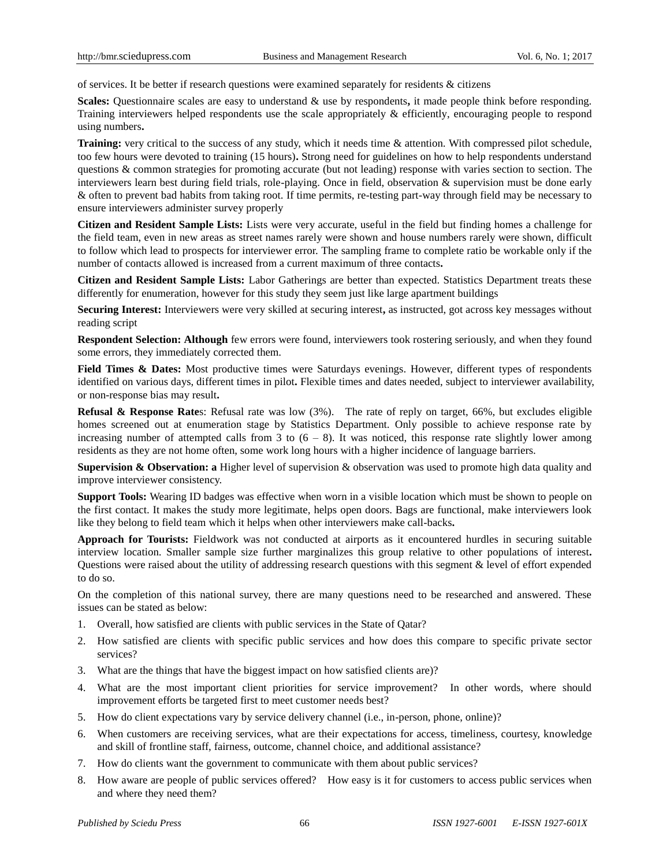of services. It be better if research questions were examined separately for residents & citizens

**Scales:** Questionnaire scales are easy to understand & use by respondents**,** it made people think before responding. Training interviewers helped respondents use the scale appropriately & efficiently, encouraging people to respond using numbers**.**

**Training:** very critical to the success of any study, which it needs time & attention. With compressed pilot schedule, too few hours were devoted to training (15 hours)**.** Strong need for guidelines on how to help respondents understand questions & common strategies for promoting accurate (but not leading) response with varies section to section. The interviewers learn best during field trials, role-playing. Once in field, observation & supervision must be done early & often to prevent bad habits from taking root. If time permits, re-testing part-way through field may be necessary to ensure interviewers administer survey properly

**Citizen and Resident Sample Lists:** Lists were very accurate, useful in the field but finding homes a challenge for the field team, even in new areas as street names rarely were shown and house numbers rarely were shown, difficult to follow which lead to prospects for interviewer error. The sampling frame to complete ratio be workable only if the number of contacts allowed is increased from a current maximum of three contacts**.**

**Citizen and Resident Sample Lists:** Labor Gatherings are better than expected. Statistics Department treats these differently for enumeration, however for this study they seem just like large apartment buildings

**Securing Interest:** Interviewers were very skilled at securing interest**,** as instructed, got across key messages without reading script

**Respondent Selection: Although** few errors were found, interviewers took rostering seriously, and when they found some errors, they immediately corrected them.

**Field Times & Dates:** Most productive times were Saturdays evenings. However, different types of respondents identified on various days, different times in pilot**.** Flexible times and dates needed, subject to interviewer availability, or non-response bias may result**.**

**Refusal & Response Rate**s: Refusal rate was low (3%). The rate of reply on target, 66%, but excludes eligible homes screened out at enumeration stage by Statistics Department. Only possible to achieve response rate by increasing number of attempted calls from 3 to  $(6 - 8)$ . It was noticed, this response rate slightly lower among residents as they are not home often, some work long hours with a higher incidence of language barriers.

**Supervision & Observation: a** Higher level of supervision & observation was used to promote high data quality and improve interviewer consistency.

**Support Tools:** Wearing ID badges was effective when worn in a visible location which must be shown to people on the first contact. It makes the study more legitimate, helps open doors. Bags are functional, make interviewers look like they belong to field team which it helps when other interviewers make call-backs**.**

**Approach for Tourists:** Fieldwork was not conducted at airports as it encountered hurdles in securing suitable interview location. Smaller sample size further marginalizes this group relative to other populations of interest**.**  Questions were raised about the utility of addressing research questions with this segment & level of effort expended to do so.

On the completion of this national survey, there are many questions need to be researched and answered. These issues can be stated as below:

- 1. Overall, how satisfied are clients with public services in the State of Qatar?
- 2. How satisfied are clients with specific public services and how does this compare to specific private sector services?
- 3. What are the things that have the biggest impact on how satisfied clients are)?
- 4. What are the most important client priorities for service improvement? In other words, where should improvement efforts be targeted first to meet customer needs best?
- 5. How do client expectations vary by service delivery channel (i.e., in-person, phone, online)?
- 6. When customers are receiving services, what are their expectations for access, timeliness, courtesy, knowledge and skill of frontline staff, fairness, outcome, channel choice, and additional assistance?
- 7. How do clients want the government to communicate with them about public services?
- 8. How aware are people of public services offered? How easy is it for customers to access public services when and where they need them?